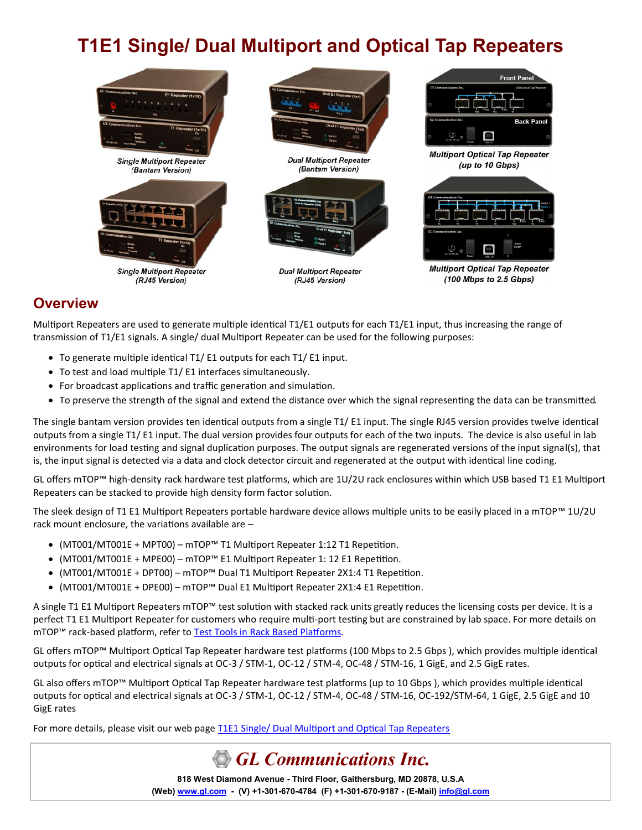# **T1E1 Single/ Dual Multiport and Optical Tap Repeaters**



### **Overview**

Multiport Repeaters are used to generate multiple identical T1/E1 outputs for each T1/E1 input, thus increasing the range of transmission of T1/E1 signals. A single/ dual Multiport Repeater can be used for the following purposes:

- To generate multiple identical T1/ E1 outputs for each T1/ E1 input.
- To test and load multiple T1/ E1 interfaces simultaneously.
- For broadcast applications and traffic generation and simulation.
- To preserve the strength of the signal and extend the distance over which the signal representing the data can be transmitted.

The single bantam version provides ten identical outputs from a single T1/ E1 input. The single RJ45 version provides twelve identical outputs from a single T1/ E1 input. The dual version provides four outputs for each of the two inputs. The device is also useful in lab environments for load testing and signal duplication purposes. The output signals are regenerated versions of the input signal(s), that is, the input signal is detected via a data and clock detector circuit and regenerated at the output with identical line coding.

GL offers mTOP™ high-density rack hardware test platforms, which are 1U/2U rack enclosures within which USB based T1 E1 Multiport Repeaters can be stacked to provide high density form factor solution.

The sleek design of T1 E1 Multiport Repeaters portable hardware device allows multiple units to be easily placed in a mTOP™ 1U/2U rack mount enclosure, the variations available are –

- (MT001/MT001E + MPT00) mTOP™ T1 Multiport Repeater 1:12 T1 Repetition.
- (MT001/MT001E + MPE00) mTOP™ E1 Multiport Repeater 1: 12 E1 Repetition.
- (MT001/MT001E + DPT00) mTOP™ Dual T1 Multiport Repeater 2X1:4 T1 Repetition.
- (MT001/MT001E + DPE00) mTOP™ Dual E1 Multiport Repeater 2X1:4 E1 Repetition.

A single T1 E1 Multiport Repeaters mTOP™ test solution with stacked rack units greatly reduces the licensing costs per device. It is a perfect T1 E1 Multiport Repeater for customers who require multi-port testing but are constrained by lab space. For more details on mTOP™ rack-based platform, refer to [Test Tools in Rack Based Platforms.](https://www.gl.com/test-tools-in-rack-based-platforms.html)

GL offers mTOP™ Multiport Optical Tap Repeater hardware test platforms (100 Mbps to 2.5 Gbps ), which provides multiple identical outputs for optical and electrical signals at OC-3 / STM-1, OC-12 / STM-4, OC-48 / STM-16, 1 GigE, and 2.5 GigE rates.

GL also offers mTOP™ Multiport Optical Tap Repeater hardware test platforms (up to 10 Gbps ), which provides multiple identical outputs for optical and electrical signals at OC-3 / STM-1, OC-12 / STM-4, OC-48 / STM-16, OC-192/STM-64, 1 GigE, 2.5 GigE and 10 GigE rates

For more details, please visit our web page [T1E1 Single/ Dual Multiport and Optical Tap Repeaters](https://www.gl.com/t1e1-multi-port-and-optical-repeater.html)

# **GL Communications Inc.**

**818 West Diamond Avenue - Third Floor, Gaithersburg, MD 20878, U.S.A** (Web) [www.gl.com](https://www.gl.com) - (V) +1-301-670-4784 (F) +1-301-670-9187 - (E-Mail) [info@gl.com](https://www.gl.com/inforequestform.php)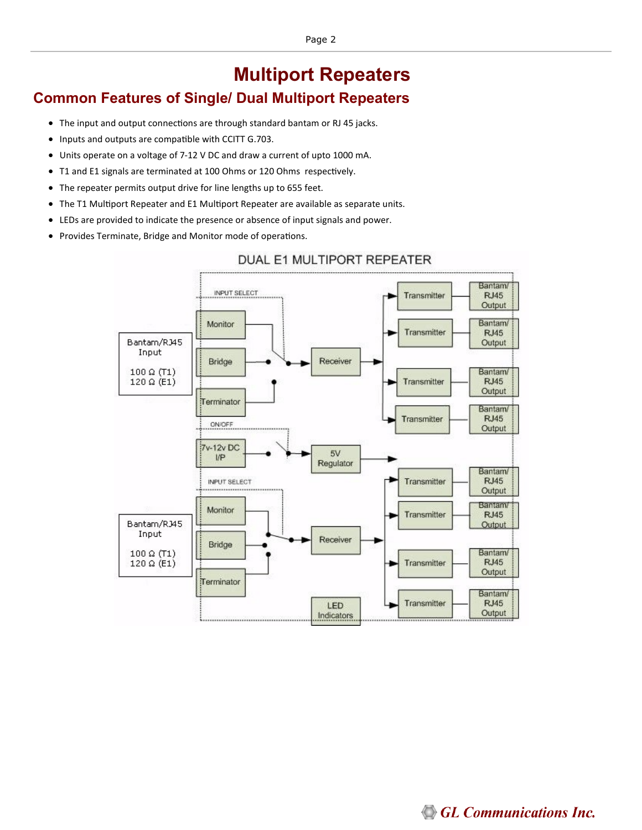# **Multiport Repeaters**

# **Common Features of Single/ Dual Multiport Repeaters**

- The input and output connections are through standard bantam or RJ 45 jacks.
- Inputs and outputs are compatible with CCITT G.703.
- Units operate on a voltage of 7-12 V DC and draw a current of upto 1000 mA.
- T1 and E1 signals are terminated at 100 Ohms or 120 Ohms respectively.
- The repeater permits output drive for line lengths up to 655 feet.
- The T1 Multiport Repeater and E1 Multiport Repeater are available as separate units.
- LEDs are provided to indicate the presence or absence of input signals and power.
- Provides Terminate, Bridge and Monitor mode of operations.



### DUAL E1 MULTIPORT REPEATER

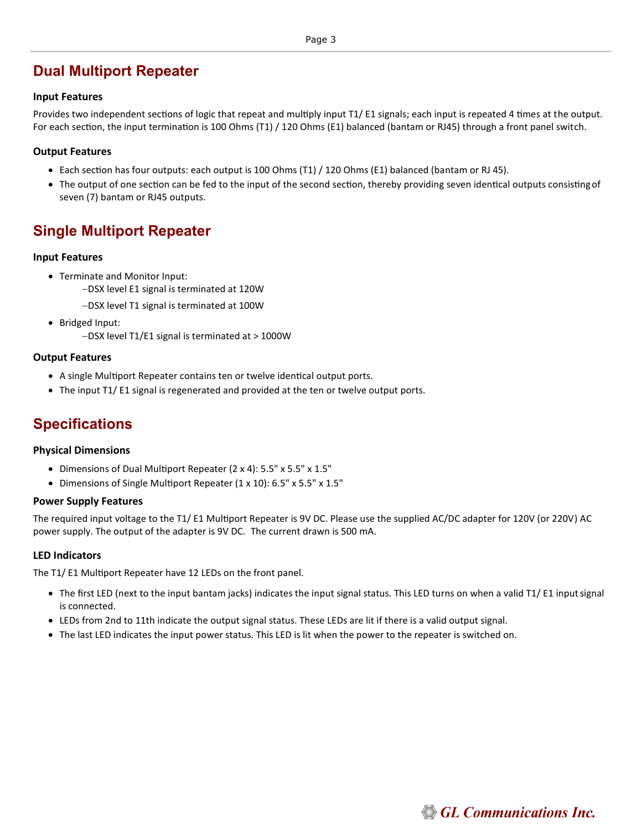# **Dual Multiport Repeater**

#### **Input Features**

Provides two independent sections of logic that repeat and multiply input T1/ E1 signals; each input is repeated 4 times at the output. For each section, the input termination is 100 Ohms (T1) / 120 Ohms (E1) balanced (bantam or RJ45) through a front panel switch.

#### **Output Features**

- Each section has four outputs: each output is 100 Ohms (T1) / 120 Ohms (E1) balanced (bantam or RJ 45).
- The output of one section can be fed to the input of the second section, thereby providing seven identical outputs consistingof seven (7) bantam or RJ45 outputs.

## **Single Multiport Repeater**

#### **Input Features**

- Terminate and Monitor Input:
	- −DSX level E1 signal is terminated at 120W
	- −DSX level T1 signal is terminated at 100W
- Bridged Input:
	- −DSX level T1/E1 signal is terminated at > 1000W

#### **Output Features**

- A single Multiport Repeater contains ten or twelve identical output ports.
- The input T1/ E1 signal is regenerated and provided at the ten or twelve output ports.

# **Specifications**

#### **Physical Dimensions**

- Dimensions of Dual Multiport Repeater (2 x 4): 5.5" x 5.5" x 1.5"
- Dimensions of Single Multiport Repeater (1 x 10): 6.5" x 5.5" x 1.5"

#### **Power Supply Features**

The required input voltage to the T1/ E1 Multiport Repeater is 9V DC. Please use the supplied AC/DC adapter for 120V (or 220V) AC power supply. The output of the adapter is 9V DC. The current drawn is 500 mA.

#### **LED Indicators**

The T1/ E1 Multiport Repeater have 12 LEDs on the front panel.

- The first LED (next to the input bantam jacks) indicates the input signal status. This LED turns on when a valid T1/ E1 inputsignal is connected.
- LEDs from 2nd to 11th indicate the output signal status. These LEDs are lit if there is a valid output signal.
- The last LED indicates the input power status. This LED is lit when the power to the repeater is switched on.

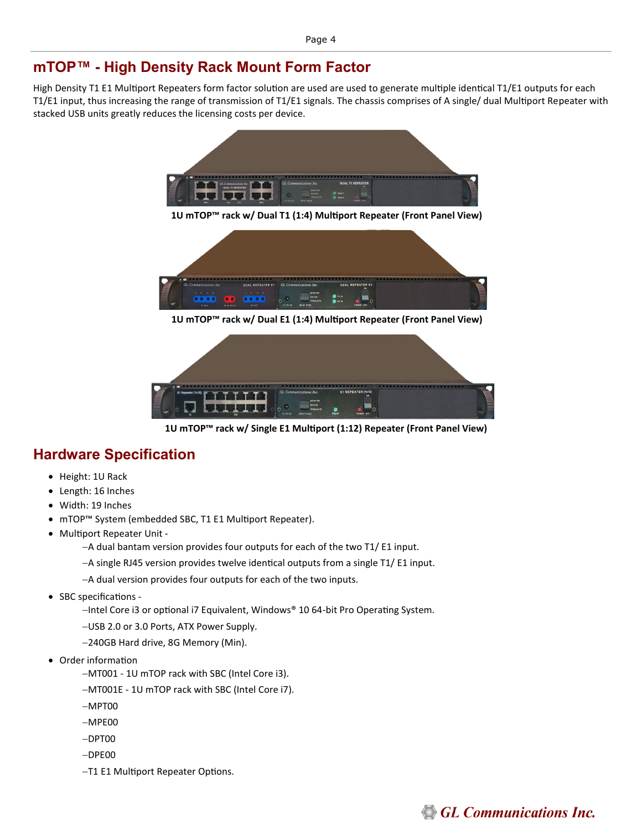## **mTOP™ - High Density Rack Mount Form Factor**

High Density T1 E1 Multiport Repeaters form factor solution are used are used to generate multiple identical T1/E1 outputs for each T1/E1 input, thus increasing the range of transmission of T1/E1 signals. The chassis comprises of A single/ dual Multiport Repeater with stacked USB units greatly reduces the licensing costs per device.



**1U mTOP™ rack w/ Dual E1 (1:4) Multiport Repeater (Front Panel View)** 



**1U mTOP™ rack w/ Single E1 Multiport (1:12) Repeater (Front Panel View)** 

# **Hardware Specification**

- Height: 1U Rack
- Length: 16 Inches
- Width: 19 Inches
- mTOP™ System (embedded SBC, T1 E1 Multiport Repeater).
- Multiport Repeater Unit -

−A dual bantam version provides four outputs for each of the two T1/ E1 input.

- −A single RJ45 version provides twelve identical outputs from a single T1/ E1 input.
- −A dual version provides four outputs for each of the two inputs.
- SBC specifications
	- −Intel Core i3 or optional i7 Equivalent, Windows® 10 64-bit Pro Operating System.
	- −USB 2.0 or 3.0 Ports, ATX Power Supply.
	- −240GB Hard drive, 8G Memory (Min).
- Order information
	- −MT001 1U mTOP rack with SBC (Intel Core i3).
	- −MT001E 1U mTOP rack with SBC (Intel Core i7).
	- −MPT00
	- −MPE00
	- −DPT00
	- −DPE00
	- −T1 E1 Multiport Repeater Options.

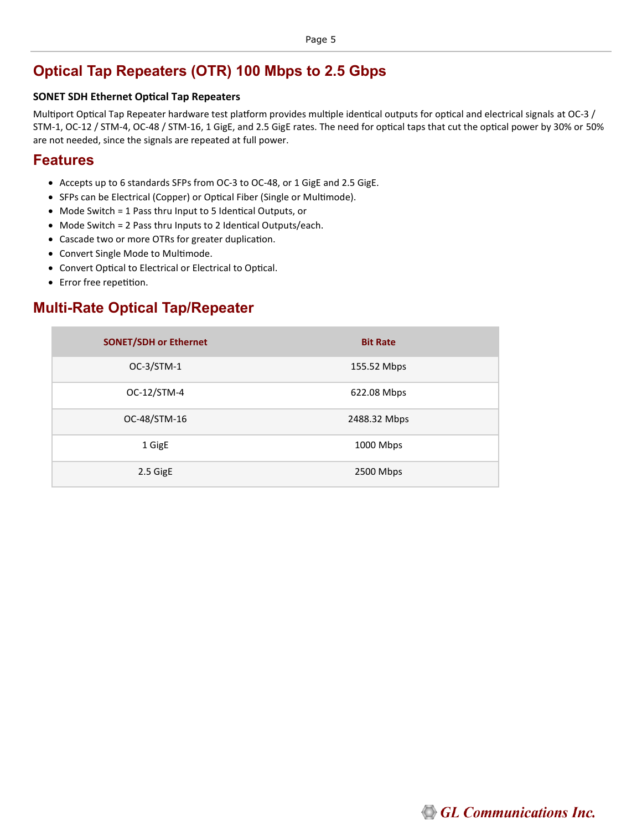# **Optical Tap Repeaters (OTR) 100 Mbps to 2.5 Gbps**

#### **SONET SDH Ethernet Optical Tap Repeaters**

Multiport Optical Tap Repeater hardware test platform provides multiple identical outputs for optical and electrical signals at OC-3 / STM-1, OC-12 / STM-4, OC-48 / STM-16, 1 GigE, and 2.5 GigE rates. The need for optical taps that cut the optical power by 30% or 50% are not needed, since the signals are repeated at full power.

### **Features**

- Accepts up to 6 standards SFPs from OC-3 to OC-48, or 1 GigE and 2.5 GigE.
- SFPs can be Electrical (Copper) or Optical Fiber (Single or Multimode).
- Mode Switch = 1 Pass thru Input to 5 Identical Outputs, or
- Mode Switch = 2 Pass thru Inputs to 2 Identical Outputs/each.
- Cascade two or more OTRs for greater duplication.
- Convert Single Mode to Multimode.
- Convert Optical to Electrical or Electrical to Optical.
- Error free repetition.

# **Multi-Rate Optical Tap/Repeater**

| <b>SONET/SDH or Ethernet</b> | <b>Bit Rate</b> |
|------------------------------|-----------------|
| OC-3/STM-1                   | 155.52 Mbps     |
| OC-12/STM-4                  | 622.08 Mbps     |
| OC-48/STM-16                 | 2488.32 Mbps    |
| 1 GigE                       | 1000 Mbps       |
| 2.5 GigE                     | 2500 Mbps       |

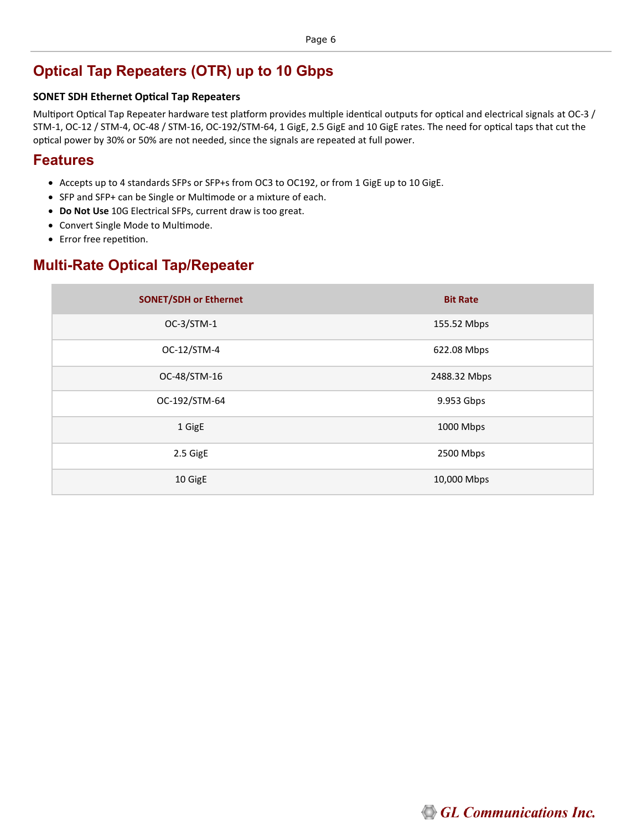## **Optical Tap Repeaters (OTR) up to 10 Gbps**

#### **SONET SDH Ethernet Optical Tap Repeaters**

Multiport Optical Tap Repeater hardware test platform provides multiple identical outputs for optical and electrical signals at OC-3 / STM-1, OC-12 / STM-4, OC-48 / STM-16, OC-192/STM-64, 1 GigE, 2.5 GigE and 10 GigE rates. The need for optical taps that cut the optical power by 30% or 50% are not needed, since the signals are repeated at full power.

### **Features**

- Accepts up to 4 standards SFPs or SFP+s from OC3 to OC192, or from 1 GigE up to 10 GigE.
- SFP and SFP+ can be Single or Multimode or a mixture of each.
- **Do Not Use** 10G Electrical SFPs, current draw is too great.
- Convert Single Mode to Multimode.
- Error free repetition.

### **Multi-Rate Optical Tap/Repeater**

| <b>SONET/SDH or Ethernet</b> | <b>Bit Rate</b> |
|------------------------------|-----------------|
| OC-3/STM-1                   | 155.52 Mbps     |
| OC-12/STM-4                  | 622.08 Mbps     |
| OC-48/STM-16                 | 2488.32 Mbps    |
| OC-192/STM-64                | 9.953 Gbps      |
| 1 GigE                       | 1000 Mbps       |
| 2.5 GigE                     | 2500 Mbps       |
| 10 GigE                      | 10,000 Mbps     |

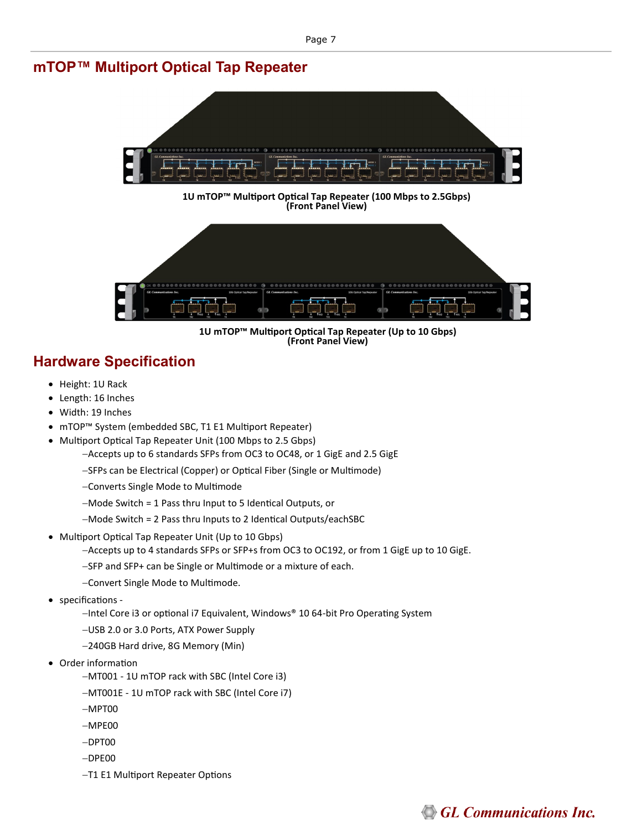### **mTOP™ Multiport Optical Tap Repeater**



**1U mTOP™ Multiport Optical Tap Repeater (100 Mbps to 2.5Gbps) (Front Panel View)** 



**1U mTOP™ Multiport Optical Tap Repeater (Up to 10 Gbps) (Front Panel View)** 

# **Hardware Specification**

- Height: 1U Rack
- Length: 16 Inches
- Width: 19 Inches
- mTOP™ System (embedded SBC, T1 E1 Multiport Repeater)
- Multiport Optical Tap Repeater Unit (100 Mbps to 2.5 Gbps)
	- −Accepts up to 6 standards SFPs from OC3 to OC48, or 1 GigE and 2.5 GigE
	- −SFPs can be Electrical (Copper) or Optical Fiber (Single or Multimode)
	- −Converts Single Mode to Multimode
	- −Mode Switch = 1 Pass thru Input to 5 Identical Outputs, or
	- −Mode Switch = 2 Pass thru Inputs to 2 Identical Outputs/eachSBC
- Multiport Optical Tap Repeater Unit (Up to 10 Gbps)
	- −Accepts up to 4 standards SFPs or SFP+s from OC3 to OC192, or from 1 GigE up to 10 GigE.
	- −SFP and SFP+ can be Single or Multimode or a mixture of each.
	- −Convert Single Mode to Multimode.
- specifications
	- −Intel Core i3 or optional i7 Equivalent, Windows® 10 64-bit Pro Operating System
	- −USB 2.0 or 3.0 Ports, ATX Power Supply
	- −240GB Hard drive, 8G Memory (Min)
- Order information
	- −MT001 1U mTOP rack with SBC (Intel Core i3)
	- −MT001E 1U mTOP rack with SBC (Intel Core i7)
	- −MPT00
	- −MPE00
	- −DPT00
	- −DPE00
	- −T1 E1 Multiport Repeater Options